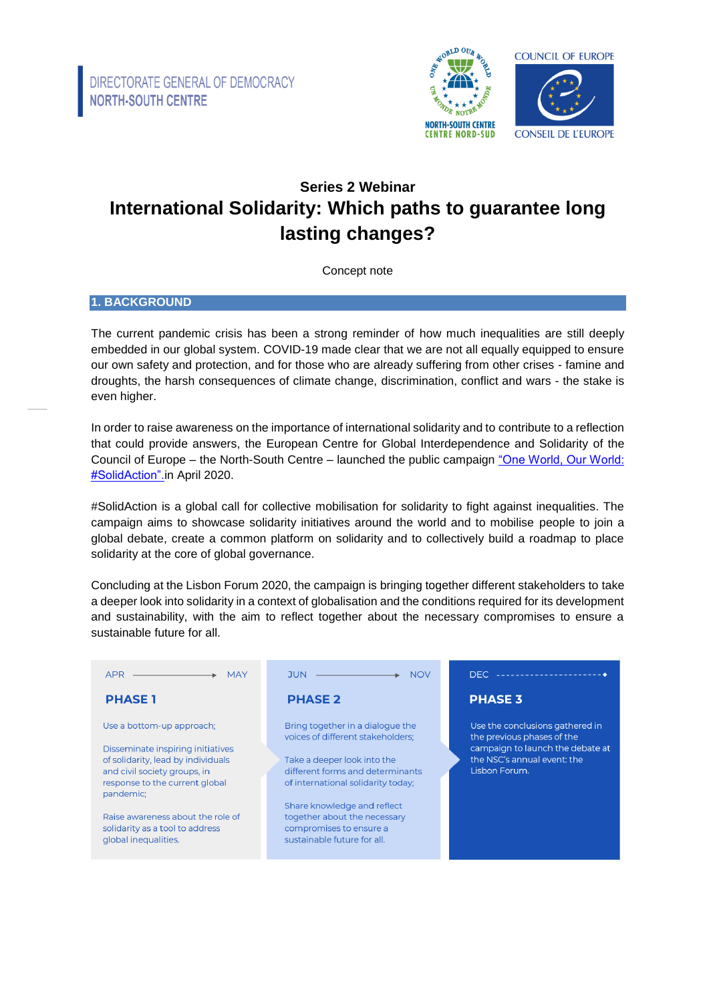

# **Series 2 Webinar International Solidarity: Which paths to guarantee long lasting changes?**

Concept note

#### **1. BACKGROUND**

The current pandemic crisis has been a strong reminder of how much inequalities are still deeply embedded in our global system. COVID-19 made clear that we are not all equally equipped to ensure our own safety and protection, and for those who are already suffering from other crises - famine and droughts, the harsh consequences of climate change, discrimination, conflict and wars - the stake is even higher.

In order to raise awareness on the importance of international solidarity and to contribute to a reflection that could provide answers, the European Centre for Global Interdependence and Solidarity of the Council of Europe – the North-South Centre – launched the public campaign "One World, Our World: [#SolidAction".i](https://www.coe.int/en/web/north-south-centre/solidaction-campaign)n April 2020.

#SolidAction is a global call for collective mobilisation for solidarity to fight against inequalities. The campaign aims to showcase solidarity initiatives around the world and to mobilise people to join a global debate, create a common platform on solidarity and to collectively build a roadmap to place solidarity at the core of global governance.

Concluding at the Lisbon Forum 2020, the campaign is bringing together different stakeholders to take a deeper look into solidarity in a context of globalisation and the conditions required for its development and sustainability, with the aim to reflect together about the necessary compromises to ensure a sustainable future for all.

| <b>APR</b><br>the control of the control of the con-<br><b>MAY</b>                                                                                                                                                                                                                  | <b>NOV</b>                                                                                                                                                                                                                                                                                              | DEC --------------------                                                                                                                          |
|-------------------------------------------------------------------------------------------------------------------------------------------------------------------------------------------------------------------------------------------------------------------------------------|---------------------------------------------------------------------------------------------------------------------------------------------------------------------------------------------------------------------------------------------------------------------------------------------------------|---------------------------------------------------------------------------------------------------------------------------------------------------|
| <b>PHASE 1</b>                                                                                                                                                                                                                                                                      | <b>PHASE 2</b>                                                                                                                                                                                                                                                                                          | <b>PHASE 3</b>                                                                                                                                    |
| Use a bottom-up approach;<br>Disseminate inspiring initiatives<br>of solidarity, lead by individuals<br>and civil society groups, in<br>response to the current global<br>pandemic;<br>Raise awareness about the role of<br>solidarity as a tool to address<br>global inequalities. | Bring together in a dialogue the<br>voices of different stakeholders:<br>Take a deeper look into the<br>different forms and determinants<br>of international solidarity today;<br>Share knowledge and reflect<br>together about the necessary<br>compromises to ensure a<br>sustainable future for all. | Use the conclusions gathered in<br>the previous phases of the<br>campaign to launch the debate at<br>the NSC's annual event: the<br>Lisbon Forum. |
|                                                                                                                                                                                                                                                                                     |                                                                                                                                                                                                                                                                                                         |                                                                                                                                                   |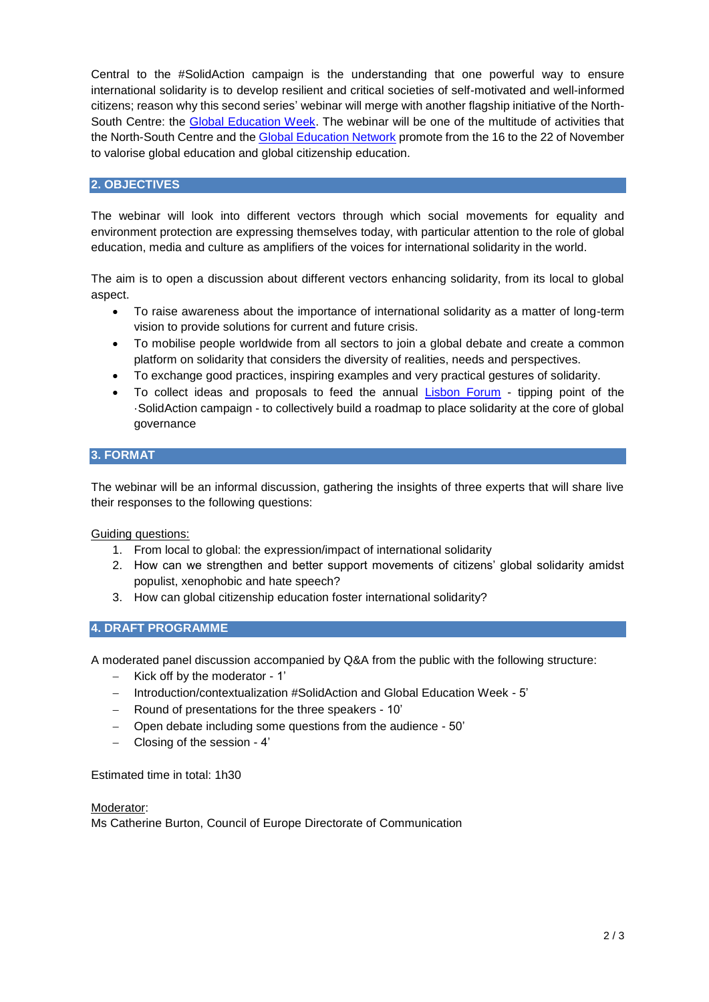Central to the #SolidAction campaign is the understanding that one powerful way to ensure international solidarity is to develop resilient and critical societies of self-motivated and well-informed citizens; reason why this second series' webinar will merge with another flagship initiative of the North-South Centre: the [Global Education Week.](https://www.coe.int/en/web/north-south-centre/the-global-education-week) The webinar will be one of the multitude of activities that the North-South Centre and the [Global Education Network](https://www.coe.int/en/web/north-south-centre/contact-list-gew-coordinators) promote from the 16 to the 22 of November to valorise global education and global citizenship education.

## **2. OBJECTIVES**

The webinar will look into different vectors through which social movements for equality and environment protection are expressing themselves today, with particular attention to the role of global education, media and culture as amplifiers of the voices for international solidarity in the world.

The aim is to open a discussion about different vectors enhancing solidarity, from its local to global aspect.

- To raise awareness about the importance of international solidarity as a matter of long-term vision to provide solutions for current and future crisis.
- To mobilise people worldwide from all sectors to join a global debate and create a common platform on solidarity that considers the diversity of realities, needs and perspectives.
- To exchange good practices, inspiring examples and very practical gestures of solidarity.
- To collect ideas and proposals to feed the annual [Lisbon Forum](https://www.coe.int/en/web/north-south-centre/solidaction-campaign) tipping point of the ·SolidAction campaign - to collectively build a roadmap to place solidarity at the core of global governance

# **3. FORMAT**

The webinar will be an informal discussion, gathering the insights of three experts that will share live their responses to the following questions:

Guiding questions:

- 1. From local to global: the expression/impact of international solidarity
- 2. How can we strengthen and better support movements of citizens' global solidarity amidst populist, xenophobic and hate speech?
- 3. How can global citizenship education foster international solidarity?

## **4. DRAFT PROGRAMME**

A moderated panel discussion accompanied by Q&A from the public with the following structure:

- $-$  Kick off by the moderator 1'
- Introduction/contextualization #SolidAction and Global Education Week 5'
- Round of presentations for the three speakers 10'
- Open debate including some questions from the audience 50'
- Closing of the session 4'

Estimated time in total: 1h30

#### Moderator:

Ms Catherine Burton, Council of Europe Directorate of Communication